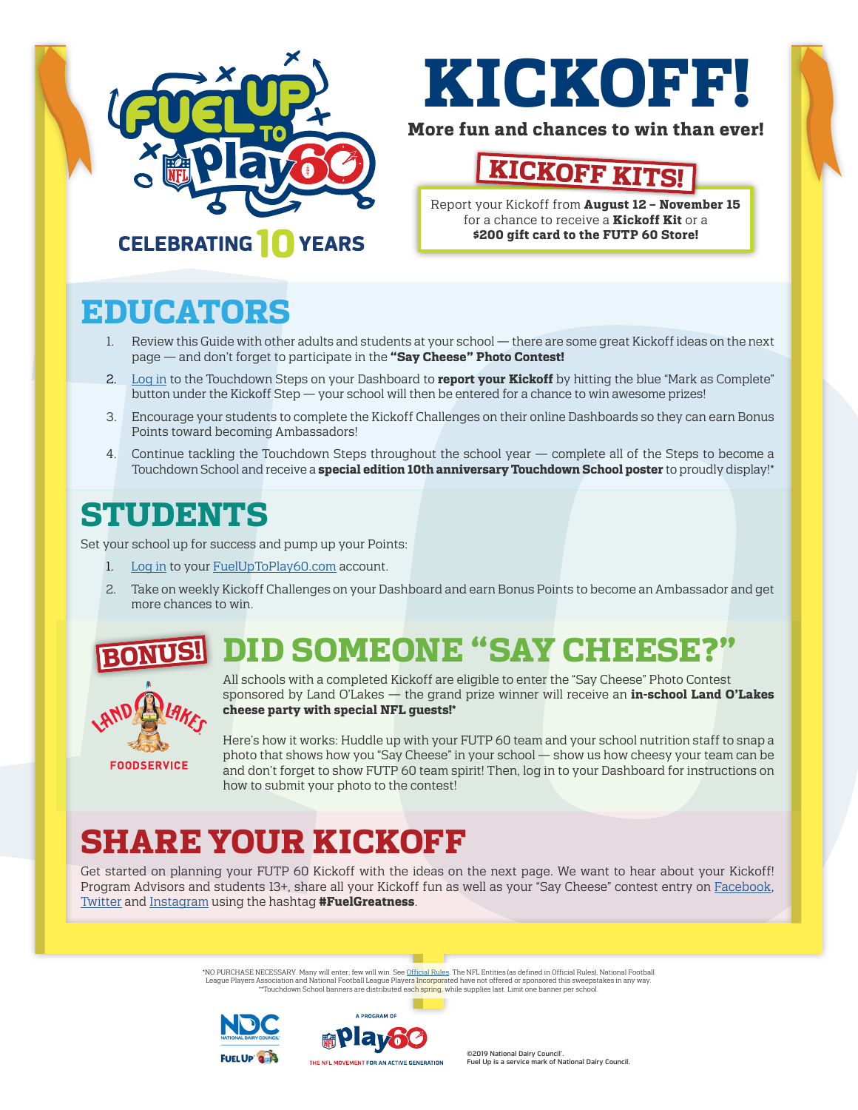

# **KICKOFF!**

#### **More fun and chances to win than ever!**

## **KICKOFF KI**

Report your Kickoff from **August 12 – November 15** for a chance to receive a **Kickoff Kit** or a **\$200 gift card to the FUTP 60 Store!**

### **CELEBRATING TO YEARS**

## **EDUCATORS**

- 1. Review this Guide with other adults and students at your school there are some great Kickoff ideas on the next page — and don't forget to participate in the **"Say Cheese" Photo Contest!**
- 2. [Log in](https://www.fueluptoplay60.com/adult-dashboard/six-steps) to the Touchdown Steps on your Dashboard to **report your Kickoff** by hitting the blue "Mark as Complete" button under the Kickoff Step — your school will then be entered for a chance to win awesome prizes!
- 3. Encourage your students to complete the Kickoff Challenges on their online Dashboards so they can earn Bonus Points toward becoming [Ambassadors](https://www.fueluptoplay60.com/get-involved/ambassadors-and-summit)!
- 4. Continue tackling the Touchdown Steps throughout the school year complete all of the Steps to become a Touchdown School and receive a **special edition 10th anniversary Touchdown School poster** to proudly display!\*

## **STUDENTS**

Set your school up for success and pump up your Points:

- 1. [Log in](https://www.fueluptoplay60.com/login) to your [FuelUpToPlay60.com](http://FuelUpToPlay60.com) account.
- 2. Take on weekly Kickoff Challenges on your Dashboard and earn Bonus Points to become an Ambassador and get more [chances to win.](https://www.fueluptoplay60.com/chances-to-win)

#### **DID SOMEONE "SAY CHEES! BONUS!**



All schools with a completed Kickoff are eligible to enter the "Say Cheese" Photo Contest sponsored by Land O'Lakes — the grand prize winner will receive an **in-school Land O'Lakes cheese party with special NFL guests!\***

Here's how it works: Huddle up with your FUTP 60 team and your school nutrition staff to snap a photo that shows how you "Say Cheese" in your school — show us how cheesy your team can be and don't forget to show FUTP 60 team spirit! Then, log in to your Dashboard for instructions on how to submit your photo to the contest!

## **SHARE YOUR KICKOFF**

Get started on planning your FUTP 60 Kickoff with the ideas on the next page. We want to hear about your Kickoff! Program Advisors and students 13+, share all your Kickoff fun as well as your "Say Cheese" contest entry on [Facebook,](https://www.facebook.com/FuelUptoPlay60) [Twitter](https://twitter.com/futp60) and [Instagram](https://www.instagram.com/futp60/) using the hashtag **#FuelGreatness**.

> \*NO PURCHASE NECESSARY. Many will enter; few will win. See [Official Rules.](https://www.fueluptoplay60.com/about/rules) The NFL Entities (as defined in Official Rules), National Football League Players Association and National Football League Player<mark>s Incorpor</mark>ated have not offered or sponsored this sweepstakes in any way. \*\*Touchdown School banners are distributed each spring, while supplies last. Limit one banner per school.





©2019 National Dairy Council<sup>®</sup>. Fuel Up is a service mark of National Dairy Council.